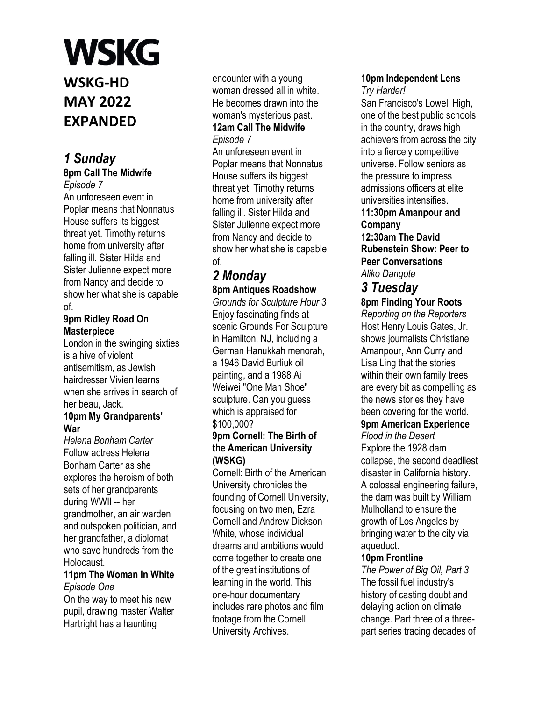**WSKG-HD MAY 2022 EXPANDED**

# *1 Sunday*

**8pm Call The Midwife**  *Episode 7* 

An unforeseen event in Poplar means that Nonnatus House suffers its biggest threat yet. Timothy returns home from university after falling ill. Sister Hilda and Sister Julienne expect more from Nancy and decide to show her what she is capable of.

#### **9pm Ridley Road On Masterpiece**

London in the swinging sixties is a hive of violent antisemitism, as Jewish hairdresser Vivien learns when she arrives in search of her beau, Jack.

#### **10pm My Grandparents' War**

*Helena Bonham Carter*  Follow actress Helena Bonham Carter as she explores the heroism of both sets of her grandparents during WWII -- her grandmother, an air warden and outspoken politician, and her grandfather, a diplomat who save hundreds from the Holocaust.

# **11pm The Woman In White**  *Episode One*

On the way to meet his new pupil, drawing master Walter Hartright has a haunting

encounter with a young woman dressed all in white. He becomes drawn into the woman's mysterious past. **12am Call The Midwife**  *Episode 7* 

An unforeseen event in Poplar means that Nonnatus House suffers its biggest threat yet. Timothy returns home from university after falling ill. Sister Hilda and Sister Julienne expect more from Nancy and decide to show her what she is capable of.

# *2 Monday*

**8pm Antiques Roadshow**  *Grounds for Sculpture Hour 3*  Enjoy fascinating finds at scenic Grounds For Sculpture in Hamilton, NJ, including a German Hanukkah menorah, a 1946 David Burliuk oil painting, and a 1988 Ai Weiwei "One Man Shoe" sculpture. Can you guess which is appraised for \$100,000?

### **9pm Cornell: The Birth of the American University (WSKG)**

Cornell: Birth of the American University chronicles the founding of Cornell University, focusing on two men, Ezra Cornell and Andrew Dickson White, whose individual dreams and ambitions would come together to create one of the great institutions of learning in the world. This one-hour documentary includes rare photos and film footage from the Cornell University Archives.

# **10pm Independent Lens**

*Try Harder!*  San Francisco's Lowell High, one of the best public schools in the country, draws high achievers from across the city into a fiercely competitive universe. Follow seniors as the pressure to impress admissions officers at elite universities intensifies. **11:30pm Amanpour and Company 12:30am The David Rubenstein Show: Peer to** 

**Peer Conversations**  *Aliko Dangote* 

### *3 Tuesday*  **8pm Finding Your Roots**

*Reporting on the Reporters*  Host Henry Louis Gates, Jr. shows journalists Christiane Amanpour, Ann Curry and Lisa Ling that the stories within their own family trees are every bit as compelling as the news stories they have been covering for the world. **9pm American Experience** 

*Flood in the Desert*  Explore the 1928 dam collapse, the second deadliest disaster in California history. A colossal engineering failure, the dam was built by William Mulholland to ensure the growth of Los Angeles by bringing water to the city via aqueduct.

# **10pm Frontline**

*The Power of Big Oil, Part 3*  The fossil fuel industry's history of casting doubt and delaying action on climate change. Part three of a threepart series tracing decades of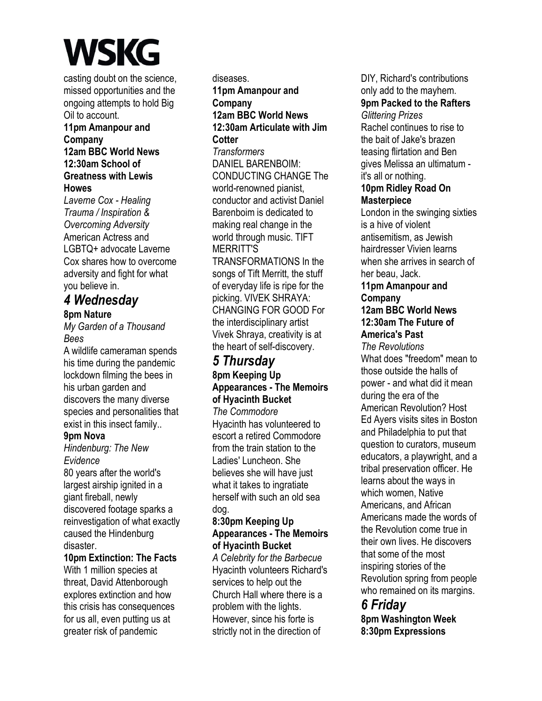casting doubt on the science, missed opportunities and the ongoing attempts to hold Big Oil to account. **11pm Amanpour and Company 12am BBC World News** 

**12:30am School of Greatness with Lewis Howes** 

*Laverne Cox - Healing Trauma / Inspiration & Overcoming Adversity*  American Actress and LGBTQ+ advocate Laverne Cox shares how to overcome adversity and fight for what you believe in.

# *4 Wednesday*

# **8pm Nature**

*My Garden of a Thousand Bees* 

A wildlife cameraman spends his time during the pandemic lockdown filming the bees in his urban garden and discovers the many diverse species and personalities that exist in this insect family..

# **9pm Nova**

*Hindenburg: The New Evidence* 

80 years after the world's largest airship ignited in a giant fireball, newly discovered footage sparks a reinvestigation of what exactly caused the Hindenburg disaster.

### **10pm Extinction: The Facts**

With 1 million species at threat, David Attenborough explores extinction and how this crisis has consequences for us all, even putting us at greater risk of pandemic

diseases. **11pm Amanpour and Company 12am BBC World News 12:30am Articulate with Jim Cotter**  *Transformers*  DANIEL BARENBOIM: CONDUCTING CHANGE The world-renowned pianist, conductor and activist Daniel Barenboim is dedicated to making real change in the world through music. TIFT MERRITT'S TRANSFORMATIONS In the songs of Tift Merritt, the stuff of everyday life is ripe for the picking. VIVEK SHRAYA: CHANGING FOR GOOD For

the interdisciplinary artist Vivek Shraya, creativity is at the heart of self-discovery.

# *5 Thursday*

# **8pm Keeping Up Appearances - The Memoirs of Hyacinth Bucket**

*The Commodore*  Hyacinth has volunteered to escort a retired Commodore from the train station to the Ladies' Luncheon. She believes she will have just what it takes to ingratiate herself with such an old sea dog.

### **8:30pm Keeping Up Appearances - The Memoirs of Hyacinth Bucket**

*A Celebrity for the Barbecue*  Hyacinth volunteers Richard's services to help out the Church Hall where there is a problem with the lights. However, since his forte is strictly not in the direction of

DIY, Richard's contributions only add to the mayhem. **9pm Packed to the Rafters**  *Glittering Prizes*  Rachel continues to rise to the bait of Jake's brazen teasing flirtation and Ben gives Melissa an ultimatum it's all or nothing. **10pm Ridley Road On Masterpiece**  London in the swinging sixties is a hive of violent antisemitism, as Jewish

hairdresser Vivien learns when she arrives in search of her beau, Jack.

# **11pm Amanpour and Company**

#### **12am BBC World News 12:30am The Future of America's Past**

*The Revolutions*  What does "freedom" mean to those outside the halls of power - and what did it mean during the era of the American Revolution? Host Ed Ayers visits sites in Boston and Philadelphia to put that question to curators, museum educators, a playwright, and a tribal preservation officer. He learns about the ways in which women, Native Americans, and African Americans made the words of the Revolution come true in their own lives. He discovers that some of the most inspiring stories of the Revolution spring from people who remained on its margins.

# *6 Friday*

**8pm Washington Week 8:30pm Expressions**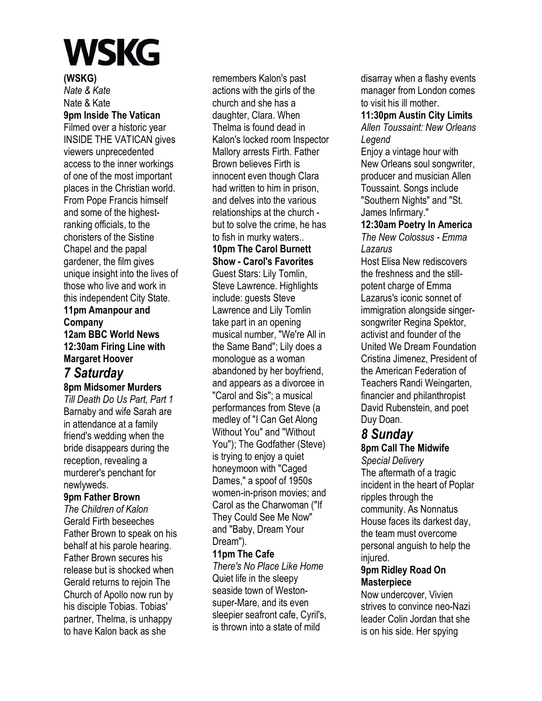#### **(WSKG)**

*Nate & Kate*  Nate & Kate **9pm Inside The Vatican**  Filmed over a historic year INSIDE THE VATICAN gives viewers unprecedented access to the inner workings of one of the most important places in the Christian world. From Pope Francis himself and some of the highestranking officials, to the choristers of the Sistine Chapel and the papal gardener, the film gives unique insight into the lives of those who live and work in this independent City State.

# **11pm Amanpour and Company 12am BBC World News 12:30am Firing Line with Margaret Hoover**

# *7 Saturday*

**8pm Midsomer Murders** 

*Till Death Do Us Part, Part 1*  Barnaby and wife Sarah are in attendance at a family friend's wedding when the bride disappears during the reception, revealing a murderer's penchant for newlyweds.

### **9pm Father Brown**

*The Children of Kalon*  Gerald Firth beseeches Father Brown to speak on his behalf at his parole hearing. Father Brown secures his release but is shocked when Gerald returns to rejoin The Church of Apollo now run by his disciple Tobias. Tobias' partner, Thelma, is unhappy to have Kalon back as she

remembers Kalon's past actions with the girls of the church and she has a daughter, Clara. When Thelma is found dead in Kalon's locked room Inspector Mallory arrests Firth. Father Brown believes Firth is innocent even though Clara had written to him in prison, and delves into the various relationships at the church but to solve the crime, he has to fish in murky waters.. **10pm The Carol Burnett Show - Carol's Favorites**  Guest Stars: Lily Tomlin, Steve Lawrence. Highlights include: guests Steve Lawrence and Lily Tomlin take part in an opening musical number, "We're All in the Same Band"; Lily does a monologue as a woman abandoned by her boyfriend, and appears as a divorcee in "Carol and Sis"; a musical performances from Steve (a medley of "I Can Get Along Without You" and "Without You"); The Godfather (Steve) is trying to enjoy a quiet honeymoon with "Caged Dames," a spoof of 1950s women-in-prison movies; and Carol as the Charwoman ("If They Could See Me Now"

#### Dream"). **11pm The Cafe**

and "Baby, Dream Your

*There's No Place Like Home*  Quiet life in the sleepy seaside town of Westonsuper-Mare, and its even sleepier seafront cafe, Cyril's, is thrown into a state of mild

disarray when a flashy events manager from London comes to visit his ill mother.

#### **11:30pm Austin City Limits**  *Allen Toussaint: New Orleans Legend*

Enjoy a vintage hour with New Orleans soul songwriter, producer and musician Allen Toussaint. Songs include "Southern Nights" and "St. James Infirmary."

# **12:30am Poetry In America**

*The New Colossus - Emma Lazarus* 

Host Elisa New rediscovers the freshness and the stillpotent charge of Emma Lazarus's iconic sonnet of immigration alongside singersongwriter Regina Spektor, activist and founder of the United We Dream Foundation Cristina Jimenez, President of the American Federation of Teachers Randi Weingarten, financier and philanthropist David Rubenstein, and poet Duy Doan.

# *8 Sunday*

**8pm Call The Midwife**  *Special Delivery*  The aftermath of a tragic incident in the heart of Poplar ripples through the community. As Nonnatus House faces its darkest day, the team must overcome personal anguish to help the iniured.

### **9pm Ridley Road On Masterpiece**

Now undercover, Vivien strives to convince neo-Nazi leader Colin Jordan that she is on his side. Her spying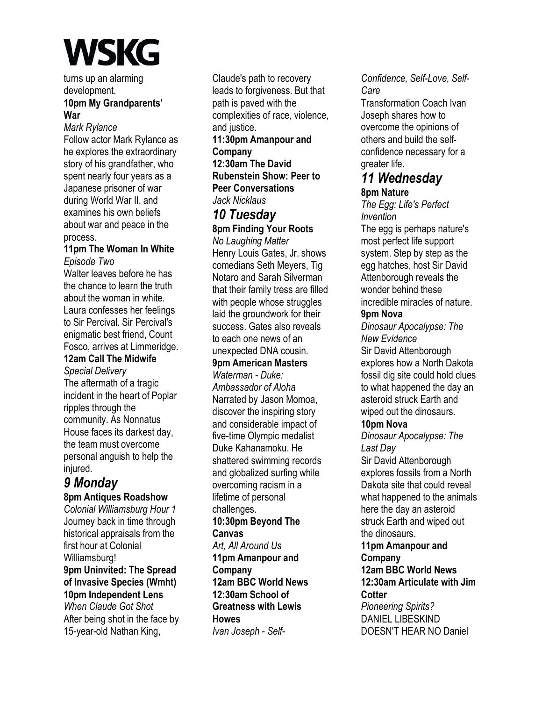turns up an alarming development.

## **10pm My Grandparents' War**

*Mark Rylance* 

Follow actor Mark Rylance as he explores the extraordinary story of his grandfather, who spent nearly four years as a Japanese prisoner of war during World War II, and examines his own beliefs about war and peace in the process.

#### **11pm The Woman In White**  *Episode Two*

Walter leaves before he has the chance to learn the truth about the woman in white. Laura confesses her feelings to Sir Percival. Sir Percival's enigmatic best friend, Count Fosco, arrives at Limmeridge.

# **12am Call The Midwife**

*Special Delivery*  The aftermath of a tragic incident in the heart of Poplar ripples through the community. As Nonnatus House faces its darkest day, the team must overcome personal anguish to help the injured.

# *9 Monday*

### **8pm Antiques Roadshow**

*Colonial Williamsburg Hour 1*  Journey back in time through historical appraisals from the first hour at Colonial Williamsburg! **9pm Uninvited: The Spread of Invasive Species (Wmht) 10pm Independent Lens**  *When Claude Got Shot*  After being shot in the face by 15-year-old Nathan King,

Claude's path to recovery leads to forgiveness. But that path is paved with the complexities of race, violence, and justice.

**11:30pm Amanpour and Company 12:30am The David Rubenstein Show: Peer to Peer Conversations**  *Jack Nicklaus* 

# *10 Tuesday*  **8pm Finding Your Roots**

*No Laughing Matter*  Henry Louis Gates, Jr. shows comedians Seth Meyers, Tig Notaro and Sarah Silverman that their family tress are filled with people whose struggles laid the groundwork for their success. Gates also reveals to each one news of an unexpected DNA cousin.

# **9pm American Masters**

*Waterman - Duke: Ambassador of Aloha*  Narrated by Jason Momoa, discover the inspiring story and considerable impact of five-time Olympic medalist Duke Kahanamoku. He shattered swimming records and globalized surfing while overcoming racism in a lifetime of personal challenges. **10:30pm Beyond The Canvas**  *Art, All Around Us*  **11pm Amanpour and Company 12am BBC World News 12:30am School of Greatness with Lewis Howes**  *Ivan Joseph - Self-*

# *Confidence, Self-Love, Self-Care*

Transformation Coach Ivan Joseph shares how to overcome the opinions of others and build the selfconfidence necessary for a greater life.

# *11 Wednesday*  **8pm Nature**

*The Egg: Life's Perfect Invention* 

The egg is perhaps nature's most perfect life support system. Step by step as the egg hatches, host Sir David Attenborough reveals the wonder behind these incredible miracles of nature.

### **9pm Nova**

*Dinosaur Apocalypse: The New Evidence*  Sir David Attenborough explores how a North Dakota fossil dig site could hold clues to what happened the day an asteroid struck Earth and wiped out the dinosaurs.

### **10pm Nova**

*Dinosaur Apocalypse: The Last Day* 

Sir David Attenborough explores fossils from a North Dakota site that could reveal what happened to the animals here the day an asteroid struck Earth and wiped out the dinosaurs.

**11pm Amanpour and Company 12am BBC World News 12:30am Articulate with Jim Cotter** 

*Pioneering Spirits?*  DANIEL LIBESKIND DOESN'T HEAR NO Daniel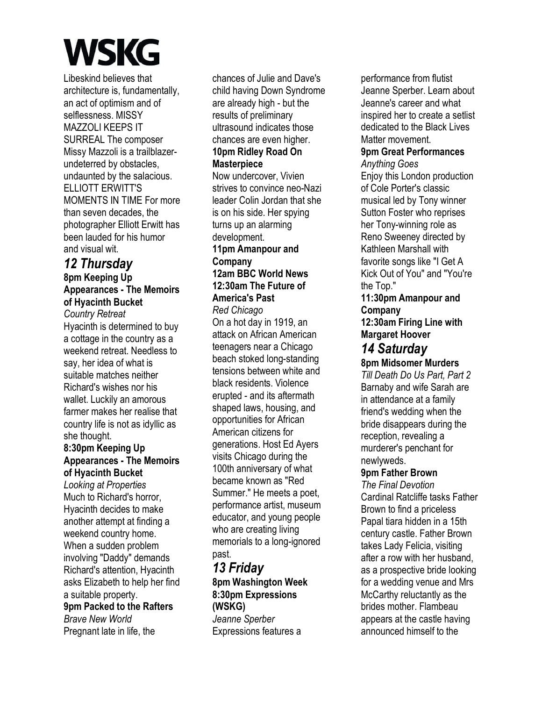Libeskind believes that architecture is, fundamentally, an act of optimism and of selflessness. MISSY MAZZOLI KEEPS IT SURREAL The composer Missy Mazzoli is a trailblazerundeterred by obstacles, undaunted by the salacious. ELLIOTT ERWITT'S MOMENTS IN TIME For more than seven decades, the photographer Elliott Erwitt has been lauded for his humor and visual wit.

# *12 Thursday*  **8pm Keeping Up Appearances - The Memoirs of Hyacinth Bucket**

*Country Retreat*  Hyacinth is determined to buy a cottage in the country as a weekend retreat. Needless to say, her idea of what is suitable matches neither Richard's wishes nor his wallet. Luckily an amorous farmer makes her realise that country life is not as idyllic as she thought.

### **8:30pm Keeping Up Appearances - The Memoirs of Hyacinth Bucket**

*Looking at Properties*  Much to Richard's horror, Hyacinth decides to make another attempt at finding a weekend country home. When a sudden problem involving "Daddy" demands Richard's attention, Hyacinth asks Elizabeth to help her find a suitable property. **9pm Packed to the Rafters**  *Brave New World* 

Pregnant late in life, the

chances of Julie and Dave's child having Down Syndrome are already high - but the results of preliminary ultrasound indicates those chances are even higher. **10pm Ridley Road On Masterpiece**  Now undercover, Vivien strives to convince neo-Nazi leader Colin Jordan that she is on his side. Her spying

turns up an alarming development. **11pm Amanpour and Company** 

#### **12am BBC World News 12:30am The Future of America's Past**

*Red Chicago* 

On a hot day in 1919, an attack on African American teenagers near a Chicago beach stoked long-standing tensions between white and black residents. Violence erupted - and its aftermath shaped laws, housing, and opportunities for African American citizens for generations. Host Ed Ayers visits Chicago during the 100th anniversary of what became known as "Red Summer." He meets a poet, performance artist, museum educator, and young people who are creating living memorials to a long-ignored past.

# *13 Friday*  **8pm Washington Week 8:30pm Expressions (WSKG)**

*Jeanne Sperber*  Expressions features a performance from flutist Jeanne Sperber. Learn about Jeanne's career and what inspired her to create a setlist dedicated to the Black Lives Matter movement.

# **9pm Great Performances**

*Anything Goes*  Enjoy this London production of Cole Porter's classic musical led by Tony winner Sutton Foster who reprises her Tony-winning role as Reno Sweeney directed by Kathleen Marshall with favorite songs like "I Get A Kick Out of You" and "You're the Top."

# **11:30pm Amanpour and Company**

**12:30am Firing Line with Margaret Hoover** 

# *14 Saturday*

**8pm Midsomer Murders** 

*Till Death Do Us Part, Part 2*  Barnaby and wife Sarah are in attendance at a family friend's wedding when the bride disappears during the reception, revealing a murderer's penchant for newlyweds.

# **9pm Father Brown**

*The Final Devotion*  Cardinal Ratcliffe tasks Father Brown to find a priceless Papal tiara hidden in a 15th century castle. Father Brown takes Lady Felicia, visiting after a row with her husband, as a prospective bride looking for a wedding venue and Mrs McCarthy reluctantly as the brides mother. Flambeau appears at the castle having announced himself to the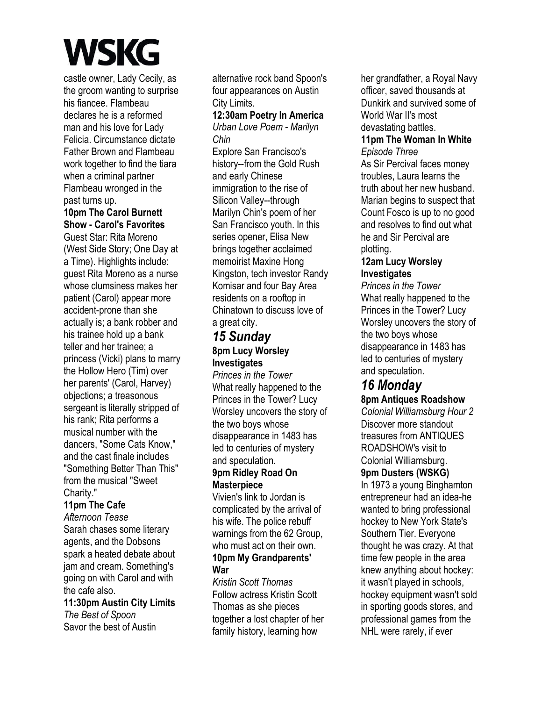castle owner, Lady Cecily, as the groom wanting to surprise his fiancee. Flambeau declares he is a reformed man and his love for Lady Felicia. Circumstance dictate Father Brown and Flambeau work together to find the tiara when a criminal partner Flambeau wronged in the past turns up.

#### **10pm The Carol Burnett Show - Carol's Favorites**

Guest Star: Rita Moreno (West Side Story; One Day at a Time). Highlights include: guest Rita Moreno as a nurse whose clumsiness makes her patient (Carol) appear more accident-prone than she actually is; a bank robber and his trainee hold up a bank teller and her trainee; a princess (Vicki) plans to marry the Hollow Hero (Tim) over her parents' (Carol, Harvey) objections; a treasonous sergeant is literally stripped of his rank; Rita performs a musical number with the dancers, "Some Cats Know," and the cast finale includes "Something Better Than This" from the musical "Sweet Charity."

### **11pm The Cafe**

*Afternoon Tease*  Sarah chases some literary agents, and the Dobsons spark a heated debate about jam and cream. Something's going on with Carol and with the cafe also.

**11:30pm Austin City Limits**  *The Best of Spoon*  Savor the best of Austin

alternative rock band Spoon's four appearances on Austin City Limits.

## **12:30am Poetry In America**

*Urban Love Poem - Marilyn Chin* 

Explore San Francisco's history--from the Gold Rush and early Chinese immigration to the rise of Silicon Valley--through Marilyn Chin's poem of her San Francisco youth. In this series opener, Elisa New brings together acclaimed memoirist Maxine Hong Kingston, tech investor Randy Komisar and four Bay Area residents on a rooftop in Chinatown to discuss love of a great city.

# *15 Sunday*  **8pm Lucy Worsley Investigates**

*Princes in the Tower*  What really happened to the Princes in the Tower? Lucy Worsley uncovers the story of the two boys whose disappearance in 1483 has led to centuries of mystery and speculation. **9pm Ridley Road On** 

#### **Masterpiece**

Vivien's link to Jordan is complicated by the arrival of his wife. The police rebuff warnings from the 62 Group, who must act on their own. **10pm My Grandparents' War** 

*Kristin Scott Thomas*  Follow actress Kristin Scott Thomas as she pieces together a lost chapter of her family history, learning how

her grandfather, a Royal Navy officer, saved thousands at Dunkirk and survived some of World War II's most devastating battles.

#### **11pm The Woman In White**  *Episode Three*

As Sir Percival faces money troubles, Laura learns the truth about her new husband. Marian begins to suspect that Count Fosco is up to no good and resolves to find out what he and Sir Percival are plotting.

## **12am Lucy Worsley Investigates**

*Princes in the Tower*  What really happened to the Princes in the Tower? Lucy Worsley uncovers the story of the two boys whose disappearance in 1483 has led to centuries of mystery and speculation.

# *16 Monday*

**8pm Antiques Roadshow** 

*Colonial Williamsburg Hour 2*  Discover more standout treasures from ANTIQUES ROADSHOW's visit to Colonial Williamsburg. **9pm Dusters (WSKG)**  In 1973 a young Binghamton entrepreneur had an idea-he wanted to bring professional hockey to New York State's Southern Tier. Everyone thought he was crazy. At that time few people in the area knew anything about hockey: it wasn't played in schools, hockey equipment wasn't sold in sporting goods stores, and professional games from the NHL were rarely, if ever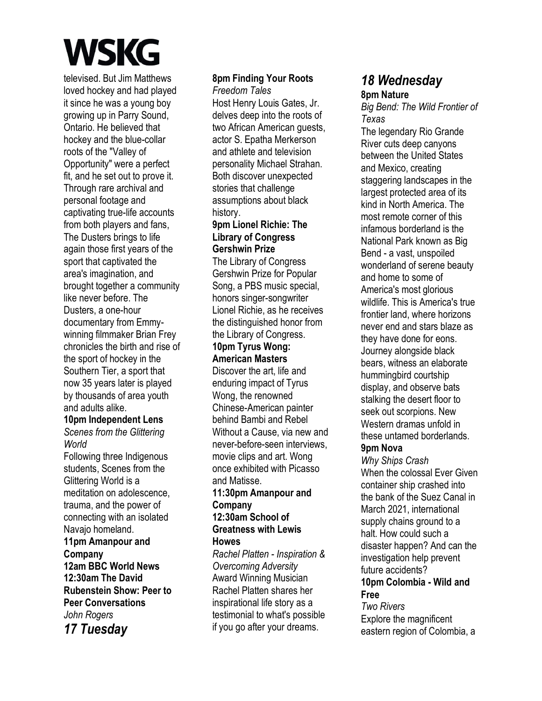televised. But Jim Matthews loved hockey and had played it since he was a young boy growing up in Parry Sound, Ontario. He believed that hockey and the blue-collar roots of the "Valley of Opportunity" were a perfect fit, and he set out to prove it. Through rare archival and personal footage and captivating true-life accounts from both players and fans, The Dusters brings to life again those first years of the sport that captivated the area's imagination, and brought together a community like never before. The Dusters, a one-hour documentary from Emmywinning filmmaker Brian Frey chronicles the birth and rise of the sport of hockey in the Southern Tier, a sport that now 35 years later is played by thousands of area youth and adults alike.

## **10pm Independent Lens**

*Scenes from the Glittering World* 

Following three Indigenous students, Scenes from the Glittering World is a meditation on adolescence, trauma, and the power of connecting with an isolated Navajo homeland.

## **11pm Amanpour and Company 12am BBC World News 12:30am The David Rubenstein Show: Peer to Peer Conversations**  *John Rogers*

*17 Tuesday* 

### **8pm Finding Your Roots**

*Freedom Tales* 

Host Henry Louis Gates, Jr. delves deep into the roots of two African American guests, actor S. Epatha Merkerson and athlete and television personality Michael Strahan. Both discover unexpected stories that challenge assumptions about black history.

#### **9pm Lionel Richie: The Library of Congress Gershwin Prize**

The Library of Congress Gershwin Prize for Popular Song, a PBS music special, honors singer-songwriter Lionel Richie, as he receives the distinguished honor from the Library of Congress.

#### **10pm Tyrus Wong: American Masters**

Discover the art, life and enduring impact of Tyrus Wong, the renowned Chinese-American painter behind Bambi and Rebel Without a Cause, via new and never-before-seen interviews, movie clips and art. Wong once exhibited with Picasso and Matisse.

# **11:30pm Amanpour and Company 12:30am School of**

#### **Greatness with Lewis Howes**

*Rachel Platten - Inspiration & Overcoming Adversity*  Award Winning Musician Rachel Platten shares her inspirational life story as a testimonial to what's possible if you go after your dreams.

# *18 Wednesday*  **8pm Nature**

*Big Bend: The Wild Frontier of Texas* 

The legendary Rio Grande River cuts deep canyons between the United States and Mexico, creating staggering landscapes in the largest protected area of its kind in North America. The most remote corner of this infamous borderland is the National Park known as Big Bend - a vast, unspoiled wonderland of serene beauty and home to some of America's most glorious wildlife. This is America's true frontier land, where horizons never end and stars blaze as they have done for eons. Journey alongside black bears, witness an elaborate hummingbird courtship display, and observe bats stalking the desert floor to seek out scorpions. New Western dramas unfold in these untamed borderlands.

## **9pm Nova**

*Why Ships Crash*  When the colossal Ever Given container ship crashed into the bank of the Suez Canal in March 2021, international supply chains ground to a halt. How could such a disaster happen? And can the investigation help prevent future accidents?

#### **10pm Colombia - Wild and Free**

*Two Rivers*  Explore the magnificent eastern region of Colombia, a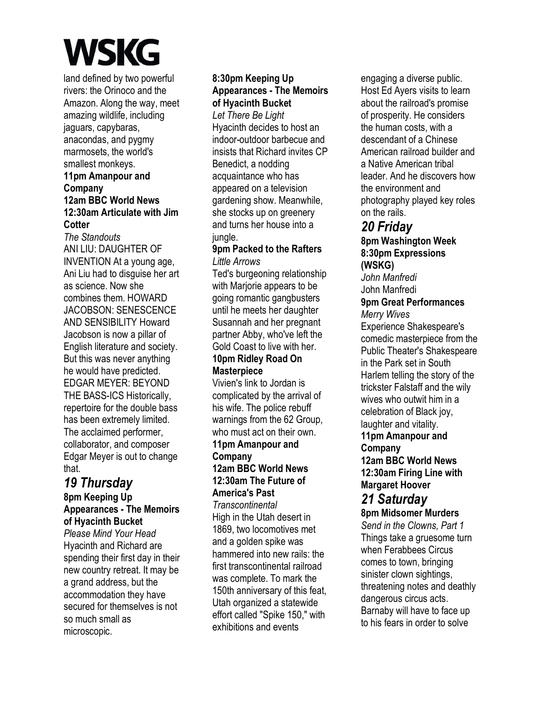land defined by two powerful rivers: the Orinoco and the Amazon. Along the way, meet amazing wildlife, including jaguars, capybaras, anacondas, and pygmy marmosets, the world's smallest monkeys.

#### **11pm Amanpour and Company 12am BBC World News 12:30am Articulate with Jim Cotter**

*The Standouts*  ANI LIU: DAUGHTER OF INVENTION At a young age, Ani Liu had to disguise her art as science. Now she combines them. HOWARD JACOBSON: SENESCENCE AND SENSIBILITY Howard Jacobson is now a pillar of English literature and society. But this was never anything he would have predicted. EDGAR MEYER: BEYOND THE BASS-ICS Historically, repertoire for the double bass has been extremely limited. The acclaimed performer, collaborator, and composer Edgar Meyer is out to change that.

# *19 Thursday*

#### **8pm Keeping Up Appearances - The Memoirs of Hyacinth Bucket**

*Please Mind Your Head*  Hyacinth and Richard are spending their first day in their new country retreat. It may be a grand address, but the accommodation they have secured for themselves is not so much small as microscopic.

## **8:30pm Keeping Up Appearances - The Memoirs of Hyacinth Bucket**

*Let There Be Light*  Hyacinth decides to host an indoor-outdoor barbecue and insists that Richard invites CP Benedict, a nodding acquaintance who has appeared on a television gardening show. Meanwhile, she stocks up on greenery and turns her house into a jungle.

#### **9pm Packed to the Rafters**  *Little Arrows*

Ted's burgeoning relationship with Marjorie appears to be going romantic gangbusters until he meets her daughter Susannah and her pregnant partner Abby, who've left the Gold Coast to live with her. **10pm Ridley Road On** 

# **Masterpiece**

Vivien's link to Jordan is complicated by the arrival of his wife. The police rebuff warnings from the 62 Group, who must act on their own

#### **11pm Amanpour and Company 12am BBC World News**

# **12:30am The Future of America's Past**

*Transcontinental*  High in the Utah desert in 1869, two locomotives met and a golden spike was hammered into new rails: the first transcontinental railroad was complete. To mark the 150th anniversary of this feat, Utah organized a statewide effort called "Spike 150," with exhibitions and events

engaging a diverse public. Host Ed Ayers visits to learn about the railroad's promise of prosperity. He considers the human costs, with a descendant of a Chinese American railroad builder and a Native American tribal leader. And he discovers how the environment and photography played key roles on the rails.

# *20 Friday*

#### **8pm Washington Week 8:30pm Expressions (WSKG)**

*John Manfredi*  John Manfredi

#### **9pm Great Performances**  *Merry Wives*

Experience Shakespeare's comedic masterpiece from the Public Theater's Shakespeare in the Park set in South Harlem telling the story of the trickster Falstaff and the wily wives who outwit him in a celebration of Black joy, laughter and vitality. **11pm Amanpour and** 

### **Company**

**12am BBC World News 12:30am Firing Line with Margaret Hoover**  *21 Saturday* 

# **8pm Midsomer Murders**

*Send in the Clowns, Part 1*  Things take a gruesome turn when Ferabbees Circus comes to town, bringing sinister clown sightings, threatening notes and deathly dangerous circus acts. Barnaby will have to face up to his fears in order to solve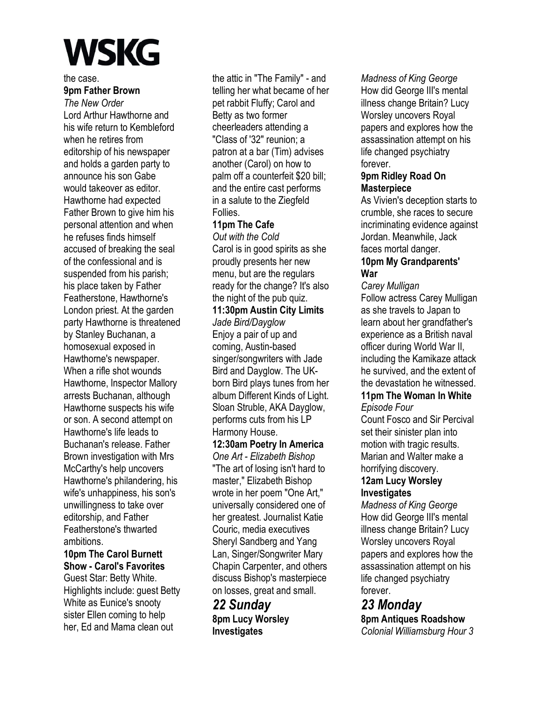the case. **9pm Father Brown** 

*The New Order*  Lord Arthur Hawthorne and his wife return to Kembleford when he retires from editorship of his newspaper and holds a garden party to announce his son Gabe would takeover as editor. Hawthorne had expected Father Brown to give him his personal attention and when he refuses finds himself accused of breaking the seal of the confessional and is suspended from his parish; his place taken by Father Featherstone, Hawthorne's London priest. At the garden party Hawthorne is threatened by Stanley Buchanan, a homosexual exposed in Hawthorne's newspaper. When a rifle shot wounds Hawthorne, Inspector Mallory arrests Buchanan, although Hawthorne suspects his wife or son. A second attempt on Hawthorne's life leads to Buchanan's release. Father Brown investigation with Mrs McCarthy's help uncovers Hawthorne's philandering, his wife's unhappiness, his son's unwillingness to take over editorship, and Father Featherstone's thwarted ambitions.

# **10pm The Carol Burnett Show - Carol's Favorites**

Guest Star: Betty White. Highlights include: guest Betty White as Eunice's snooty sister Ellen coming to help her, Ed and Mama clean out

the attic in "The Family" - and telling her what became of her pet rabbit Fluffy; Carol and Betty as two former cheerleaders attending a "Class of '32" reunion; a patron at a bar (Tim) advises another (Carol) on how to palm off a counterfeit \$20 bill; and the entire cast performs in a salute to the Ziegfeld Follies.

# **11pm The Cafe**

*Out with the Cold*  Carol is in good spirits as she proudly presents her new menu, but are the regulars ready for the change? It's also the night of the pub quiz.

**11:30pm Austin City Limits**  *Jade Bird/Dayglow*  Enjoy a pair of up and coming, Austin-based singer/songwriters with Jade Bird and Dayglow. The UKborn Bird plays tunes from her album Different Kinds of Light. Sloan Struble, AKA Dayglow, performs cuts from his LP Harmony House.

# **12:30am Poetry In America**

*One Art - Elizabeth Bishop*  "The art of losing isn't hard to master," Elizabeth Bishop wrote in her poem "One Art," universally considered one of her greatest. Journalist Katie Couric, media executives Sheryl Sandberg and Yang Lan, Singer/Songwriter Mary Chapin Carpenter, and others discuss Bishop's masterpiece on losses, great and small.

# *22 Sunday*  **8pm Lucy Worsley Investigates**

*Madness of King George*  How did George III's mental illness change Britain? Lucy Worsley uncovers Royal papers and explores how the assassination attempt on his life changed psychiatry forever.

### **9pm Ridley Road On Masterpiece**

As Vivien's deception starts to crumble, she races to secure incriminating evidence against Jordan. Meanwhile, Jack faces mortal danger.

## **10pm My Grandparents' War**

*Carey Mulligan* 

Follow actress Carey Mulligan as she travels to Japan to learn about her grandfather's experience as a British naval officer during World War II, including the Kamikaze attack he survived, and the extent of the devastation he witnessed. **11pm The Woman In White**  *Episode Four* 

Count Fosco and Sir Percival set their sinister plan into motion with tragic results. Marian and Walter make a horrifying discovery.

# **12am Lucy Worsley Investigates**

*Madness of King George*  How did George III's mental illness change Britain? Lucy Worsley uncovers Royal papers and explores how the assassination attempt on his life changed psychiatry forever.

*23 Monday*  **8pm Antiques Roadshow**  *Colonial Williamsburg Hour 3*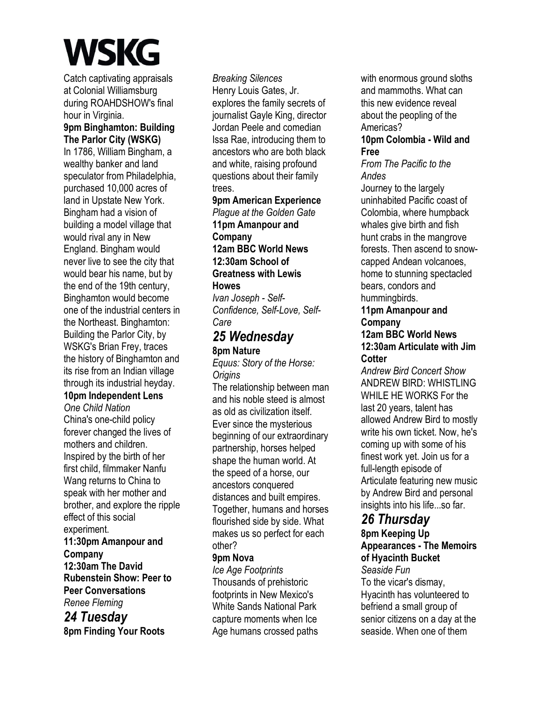Catch captivating appraisals at Colonial Williamsburg during ROAHDSHOW's final hour in Virginia.

**9pm Binghamton: Building The Parlor City (WSKG)** 

In 1786, William Bingham, a wealthy banker and land speculator from Philadelphia, purchased 10,000 acres of land in Upstate New York. Bingham had a vision of building a model village that would rival any in New England. Bingham would never live to see the city that would bear his name, but by the end of the 19th century, Binghamton would become one of the industrial centers in the Northeast. Binghamton: Building the Parlor City, by WSKG's Brian Frey, traces the history of Binghamton and its rise from an Indian village through its industrial heyday.

#### **10pm Independent Lens**

*One Child Nation*  China's one-child policy forever changed the lives of mothers and children. Inspired by the birth of her first child, filmmaker Nanfu Wang returns to China to speak with her mother and brother, and explore the ripple effect of this social experiment.

**11:30pm Amanpour and Company 12:30am The David Rubenstein Show: Peer to Peer Conversations** 

*Renee Fleming* 

*24 Tuesday*  **8pm Finding Your Roots** 

*Breaking Silences*  Henry Louis Gates, Jr. explores the family secrets of journalist Gayle King, director Jordan Peele and comedian Issa Rae, introducing them to ancestors who are both black and white, raising profound questions about their family trees.

#### **9pm American Experience**

*Plague at the Golden Gate*  **11pm Amanpour and Company 12am BBC World News 12:30am School of Greatness with Lewis Howes** 

*Ivan Joseph - Self-Confidence, Self-Love, Self-Care* 

# *25 Wednesday*  **8pm Nature**

*Equus: Story of the Horse: Origins* 

The relationship between man and his noble steed is almost as old as civilization itself. Ever since the mysterious beginning of our extraordinary partnership, horses helped shape the human world. At the speed of a horse, our ancestors conquered distances and built empires. Together, humans and horses flourished side by side. What makes us so perfect for each other?

#### **9pm Nova**

*Ice Age Footprints*  Thousands of prehistoric footprints in New Mexico's White Sands National Park capture moments when Ice Age humans crossed paths with enormous ground sloths and mammoths. What can this new evidence reveal about the peopling of the Americas?

#### **10pm Colombia - Wild and Free**

*From The Pacific to the Andes* 

Journey to the largely uninhabited Pacific coast of Colombia, where humpback whales give birth and fish hunt crabs in the mangrove forests. Then ascend to snowcapped Andean volcanoes, home to stunning spectacled bears, condors and hummingbirds.

#### **11pm Amanpour and Company**

#### **12am BBC World News 12:30am Articulate with Jim Cotter**

*Andrew Bird Concert Show*  ANDREW BIRD: WHISTLING WHILE HE WORKS For the last 20 years, talent has allowed Andrew Bird to mostly write his own ticket. Now, he's coming up with some of his finest work yet. Join us for a full-length episode of Articulate featuring new music by Andrew Bird and personal insights into his life...so far.

# *26 Thursday*

**8pm Keeping Up Appearances - The Memoirs of Hyacinth Bucket** 

#### *Seaside Fun*

To the vicar's dismay, Hyacinth has volunteered to befriend a small group of senior citizens on a day at the seaside. When one of them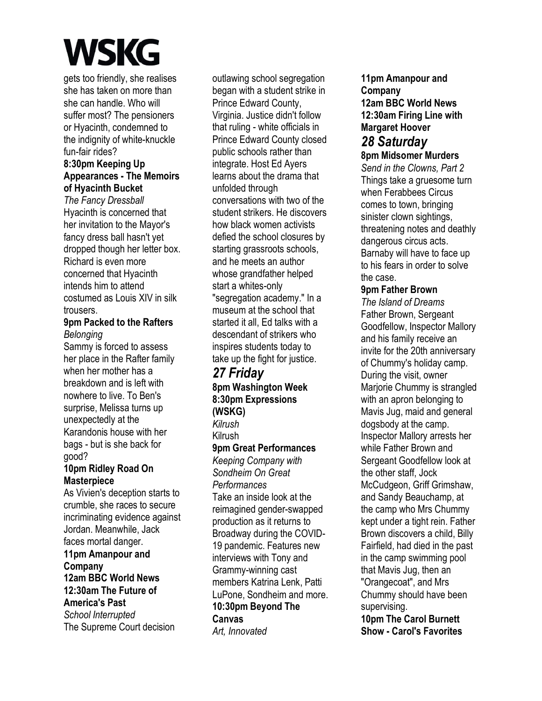gets too friendly, she realises she has taken on more than she can handle. Who will suffer most? The pensioners or Hyacinth, condemned to the indignity of white-knuckle fun-fair rides?

#### **8:30pm Keeping Up Appearances - The Memoirs of Hyacinth Bucket**

*The Fancy Dressball*  Hyacinth is concerned that her invitation to the Mayor's fancy dress ball hasn't yet dropped though her letter box. Richard is even more concerned that Hyacinth intends him to attend costumed as Louis XIV in silk trousers.

#### **9pm Packed to the Rafters**  *Belonging*

Sammy is forced to assess her place in the Rafter family when her mother has a breakdown and is left with nowhere to live. To Ben's surprise, Melissa turns up unexpectedly at the Karandonis house with her bags - but is she back for good?

#### **10pm Ridley Road On Masterpiece**

As Vivien's deception starts to crumble, she races to secure incriminating evidence against Jordan. Meanwhile, Jack faces mortal danger.

#### **11pm Amanpour and Company 12am BBC World News 12:30am The Future of America's Past**

*School Interrupted*  The Supreme Court decision

outlawing school segregation began with a student strike in Prince Edward County, Virginia. Justice didn't follow that ruling - white officials in Prince Edward County closed public schools rather than integrate. Host Ed Ayers learns about the drama that unfolded through conversations with two of the student strikers. He discovers how black women activists defied the school closures by starting grassroots schools. and he meets an author whose grandfather helped start a whites-only "segregation academy." In a museum at the school that started it all, Ed talks with a descendant of strikers who inspires students today to take up the fight for justice.

# *27 Friday*

**8pm Washington Week 8:30pm Expressions (WSKG)** 

*Kilrush* 

Kilrush

# **9pm Great Performances**

*Keeping Company with Sondheim On Great Performances*  Take an inside look at the reimagined gender-swapped production as it returns to Broadway during the COVID-19 pandemic. Features new interviews with Tony and Grammy-winning cast members Katrina Lenk, Patti LuPone, Sondheim and more. **10:30pm Beyond The** 

**Canvas**  *Art, Innovated*  **11pm Amanpour and Company 12am BBC World News 12:30am Firing Line with Margaret Hoover**  *28 Saturday* 

# **8pm Midsomer Murders**

*Send in the Clowns, Part 2*  Things take a gruesome turn when Ferabbees Circus comes to town, bringing sinister clown sightings, threatening notes and deathly dangerous circus acts. Barnaby will have to face up to his fears in order to solve the case.

## **9pm Father Brown**

*The Island of Dreams*  Father Brown, Sergeant Goodfellow, Inspector Mallory and his family receive an invite for the 20th anniversary of Chummy's holiday camp. During the visit, owner Marjorie Chummy is strangled with an apron belonging to Mavis Jug, maid and general dogsbody at the camp. Inspector Mallory arrests her while Father Brown and Sergeant Goodfellow look at the other staff, Jock McCudgeon, Griff Grimshaw, and Sandy Beauchamp, at the camp who Mrs Chummy kept under a tight rein. Father Brown discovers a child, Billy Fairfield, had died in the past in the camp swimming pool that Mavis Jug, then an "Orangecoat", and Mrs Chummy should have been supervising.

**10pm The Carol Burnett Show - Carol's Favorites**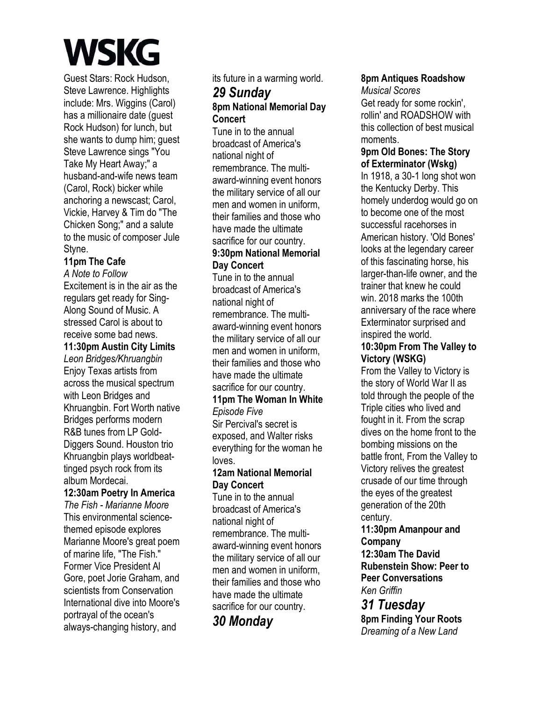Guest Stars: Rock Hudson, Steve Lawrence. Highlights include: Mrs. Wiggins (Carol) has a millionaire date (guest Rock Hudson) for lunch, but she wants to dump him; guest Steve Lawrence sings "You Take My Heart Away;" a husband-and-wife news team (Carol, Rock) bicker while anchoring a newscast; Carol, Vickie, Harvey & Tim do "The Chicken Song;" and a salute to the music of composer Jule Styne.

# **11pm The Cafe**

*A Note to Follow*  Excitement is in the air as the regulars get ready for Sing-Along Sound of Music. A stressed Carol is about to receive some bad news.

### **11:30pm Austin City Limits**

*Leon Bridges/Khruangbin*  Enjoy Texas artists from across the musical spectrum with Leon Bridges and Khruangbin. Fort Worth native Bridges performs modern R&B tunes from LP Gold-Diggers Sound. Houston trio Khruangbin plays worldbeattinged psych rock from its album Mordecai.

# **12:30am Poetry In America**

*The Fish - Marianne Moore*  This environmental sciencethemed episode explores Marianne Moore's great poem of marine life, "The Fish." Former Vice President Al Gore, poet Jorie Graham, and scientists from Conservation International dive into Moore's portrayal of the ocean's always-changing history, and

its future in a warming world.

## *29 Sunday*  **8pm National Memorial Day Concert**

Tune in to the annual broadcast of America's national night of remembrance. The multiaward-winning event honors the military service of all our men and women in uniform, their families and those who have made the ultimate sacrifice for our country.

#### **9:30pm National Memorial Day Concert**

Tune in to the annual broadcast of America's national night of remembrance. The multiaward-winning event honors the military service of all our men and women in uniform, their families and those who have made the ultimate sacrifice for our country.

#### **11pm The Woman In White**  *Episode Five*

Sir Percival's secret is exposed, and Walter risks everything for the woman he loves.

### **12am National Memorial Day Concert**

Tune in to the annual broadcast of America's national night of remembrance. The multiaward-winning event honors the military service of all our men and women in uniform, their families and those who have made the ultimate sacrifice for our country.

# *30 Monday*

# **8pm Antiques Roadshow**

*Musical Scores*  Get ready for some rockin', rollin' and ROADSHOW with this collection of best musical moments.

## **9pm Old Bones: The Story of Exterminator (Wskg)**

In 1918, a 30-1 long shot won the Kentucky Derby. This homely underdog would go on to become one of the most successful racehorses in American history. 'Old Bones' looks at the legendary career of this fascinating horse, his larger-than-life owner, and the trainer that knew he could win. 2018 marks the 100th anniversary of the race where Exterminator surprised and inspired the world.

## **10:30pm From The Valley to Victory (WSKG)**

From the Valley to Victory is the story of World War II as told through the people of the Triple cities who lived and fought in it. From the scrap dives on the home front to the bombing missions on the battle front, From the Valley to Victory relives the greatest crusade of our time through the eyes of the greatest generation of the 20th century.

**11:30pm Amanpour and Company 12:30am The David Rubenstein Show: Peer to** 

**Peer Conversations**  *Ken Griffin* 

*31 Tuesday*  **8pm Finding Your Roots**  *Dreaming of a New Land*